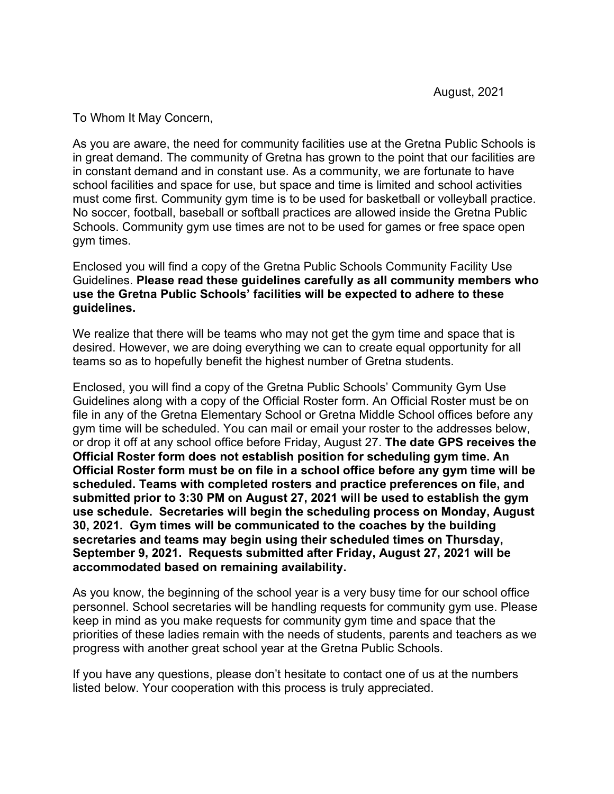To Whom It May Concern,

As you are aware, the need for community facilities use at the Gretna Public Schools is in great demand. The community of Gretna has grown to the point that our facilities are in constant demand and in constant use. As a community, we are fortunate to have school facilities and space for use, but space and time is limited and school activities must come first. Community gym time is to be used for basketball or volleyball practice. No soccer, football, baseball or softball practices are allowed inside the Gretna Public Schools. Community gym use times are not to be used for games or free space open gym times.

Enclosed you will find a copy of the Gretna Public Schools Community Facility Use Guidelines. **Please read these guidelines carefully as all community members who use the Gretna Public Schools' facilities will be expected to adhere to these guidelines.**

We realize that there will be teams who may not get the gym time and space that is desired. However, we are doing everything we can to create equal opportunity for all teams so as to hopefully benefit the highest number of Gretna students.

Enclosed, you will find a copy of the Gretna Public Schools' Community Gym Use Guidelines along with a copy of the Official Roster form. An Official Roster must be on file in any of the Gretna Elementary School or Gretna Middle School offices before any gym time will be scheduled. You can mail or email your roster to the addresses below, or drop it off at any school office before Friday, August 27. **The date GPS receives the Official Roster form does not establish position for scheduling gym time. An Official Roster form must be on file in a school office before any gym time will be scheduled. Teams with completed rosters and practice preferences on file, and submitted prior to 3:30 PM on August 27, 2021 will be used to establish the gym use schedule. Secretaries will begin the scheduling process on Monday, August 30, 2021. Gym times will be communicated to the coaches by the building secretaries and teams may begin using their scheduled times on Thursday, September 9, 2021. Requests submitted after Friday, August 27, 2021 will be accommodated based on remaining availability.**

As you know, the beginning of the school year is a very busy time for our school office personnel. School secretaries will be handling requests for community gym use. Please keep in mind as you make requests for community gym time and space that the priorities of these ladies remain with the needs of students, parents and teachers as we progress with another great school year at the Gretna Public Schools.

If you have any questions, please don't hesitate to contact one of us at the numbers listed below. Your cooperation with this process is truly appreciated.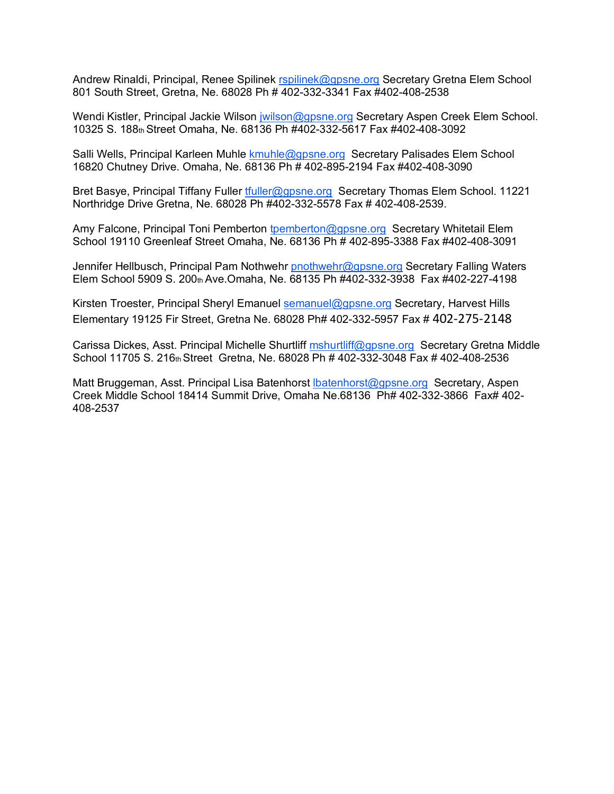Andrew Rinaldi, Principal, Renee Spilinek rspilinek@gpsne.org Secretary Gretna Elem School 801 South Street, Gretna, Ne. 68028 Ph # 402-332-3341 Fax #402-408-2538

Wendi Kistler, Principal Jackie Wilson jwilson@gpsne.org Secretary Aspen Creek Elem School. 10325 S. 188th Street Omaha, Ne. 68136 Ph #402-332-5617 Fax #402-408-3092

Salli Wells, Principal Karleen Muhle kmuhle@gpsne.org Secretary Palisades Elem School 16820 Chutney Drive. Omaha, Ne. 68136 Ph # 402-895-2194 Fax #402-408-3090

Bret Basye, Principal Tiffany Fuller tfuller@gpsne.org Secretary Thomas Elem School. 11221 Northridge Drive Gretna, Ne. 68028 Ph #402-332-5578 Fax # 402-408-2539.

Amy Falcone, Principal Toni Pemberton tpemberton@gpsne.org Secretary Whitetail Elem School 19110 Greenleaf Street Omaha, Ne. 68136 Ph # 402-895-3388 Fax #402-408-3091

Jennifer Hellbusch, Principal Pam Nothwehr pnothwehr@gpsne.org Secretary Falling Waters Elem School 5909 S. 200th Ave.Omaha, Ne. 68135 Ph #402-332-3938 Fax #402-227-4198

Kirsten Troester, Principal Sheryl Emanuel semanuel@gpsne.org Secretary, Harvest Hills Elementary 19125 Fir Street, Gretna Ne. 68028 Ph# 402-332-5957 Fax # 402-275-2148

Carissa Dickes, Asst. Principal Michelle Shurtliff mshurtliff@gpsne.org Secretary Gretna Middle School 11705 S. 216th Street Gretna, Ne. 68028 Ph # 402-332-3048 Fax # 402-408-2536

Matt Bruggeman, Asst. Principal Lisa Batenhorst *Ibatenhorst@gpsne.org* Secretary, Aspen Creek Middle School 18414 Summit Drive, Omaha Ne.68136 Ph# 402-332-3866 Fax# 402- 408-2537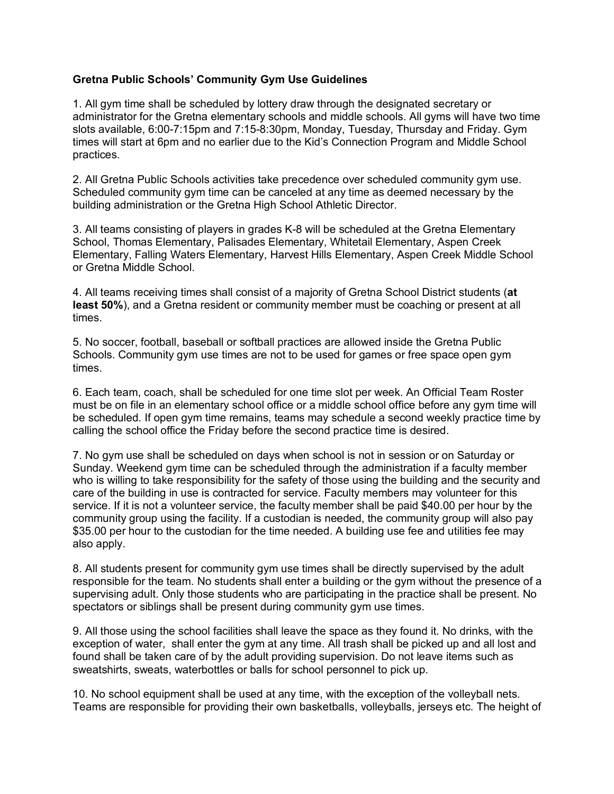## **Gretna Public Schools' Community Gym Use Guidelines**

1. All gym time shall be scheduled by lottery draw through the designated secretary or administrator for the Gretna elementary schools and middle schools. All gyms will have two time slots available, 6:00-7:15pm and 7:15-8:30pm, Monday, Tuesday, Thursday and Friday. Gym times will start at 6pm and no earlier due to the Kid's Connection Program and Middle School practices.

2. All Gretna Public Schools activities take precedence over scheduled community gym use. Scheduled community gym time can be canceled at any time as deemed necessary by the building administration or the Gretna High School Athletic Director.

3. All teams consisting of players in grades K-8 will be scheduled at the Gretna Elementary School, Thomas Elementary, Palisades Elementary, Whitetail Elementary, Aspen Creek Elementary, Falling Waters Elementary, Harvest Hills Elementary, Aspen Creek Middle School or Gretna Middle School.

4. All teams receiving times shall consist of a majority of Gretna School District students (**at least 50%**), and a Gretna resident or community member must be coaching or present at all times.

5. No soccer, football, baseball or softball practices are allowed inside the Gretna Public Schools. Community gym use times are not to be used for games or free space open gym times.

6. Each team, coach, shall be scheduled for one time slot per week. An Official Team Roster must be on file in an elementary school office or a middle school office before any gym time will be scheduled. If open gym time remains, teams may schedule a second weekly practice time by calling the school office the Friday before the second practice time is desired.

7. No gym use shall be scheduled on days when school is not in session or on Saturday or Sunday. Weekend gym time can be scheduled through the administration if a faculty member who is willing to take responsibility for the safety of those using the building and the security and care of the building in use is contracted for service. Faculty members may volunteer for this service. If it is not a volunteer service, the faculty member shall be paid \$40.00 per hour by the community group using the facility. If a custodian is needed, the community group will also pay \$35.00 per hour to the custodian for the time needed. A building use fee and utilities fee may also apply.

8. All students present for community gym use times shall be directly supervised by the adult responsible for the team. No students shall enter a building or the gym without the presence of a supervising adult. Only those students who are participating in the practice shall be present. No spectators or siblings shall be present during community gym use times.

9. All those using the school facilities shall leave the space as they found it. No drinks, with the exception of water, shall enter the gym at any time. All trash shall be picked up and all lost and found shall be taken care of by the adult providing supervision. Do not leave items such as sweatshirts, sweats, waterbottles or balls for school personnel to pick up.

10. No school equipment shall be used at any time, with the exception of the volleyball nets. Teams are responsible for providing their own basketballs, volleyballs, jerseys etc. The height of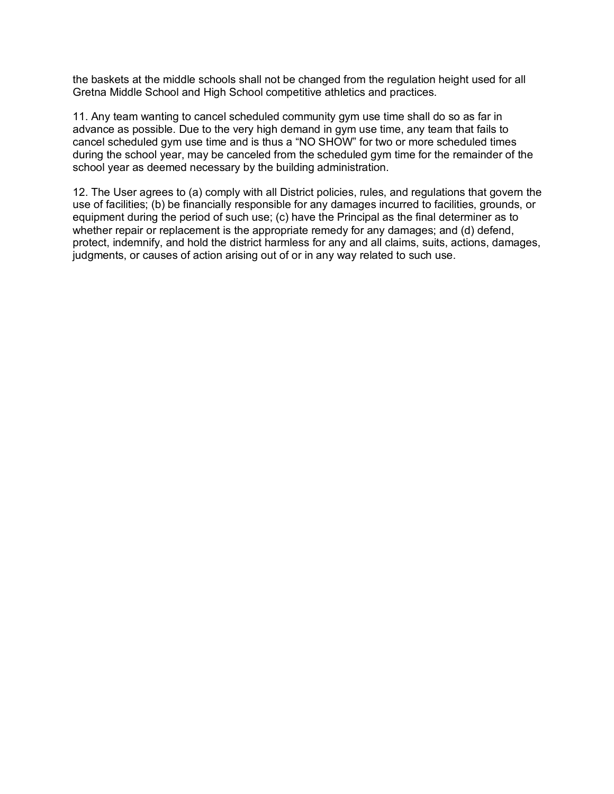the baskets at the middle schools shall not be changed from the regulation height used for all Gretna Middle School and High School competitive athletics and practices.

11. Any team wanting to cancel scheduled community gym use time shall do so as far in advance as possible. Due to the very high demand in gym use time, any team that fails to cancel scheduled gym use time and is thus a "NO SHOW" for two or more scheduled times during the school year, may be canceled from the scheduled gym time for the remainder of the school year as deemed necessary by the building administration.

12. The User agrees to (a) comply with all District policies, rules, and regulations that govern the use of facilities; (b) be financially responsible for any damages incurred to facilities, grounds, or equipment during the period of such use; (c) have the Principal as the final determiner as to whether repair or replacement is the appropriate remedy for any damages; and (d) defend, protect, indemnify, and hold the district harmless for any and all claims, suits, actions, damages, judgments, or causes of action arising out of or in any way related to such use.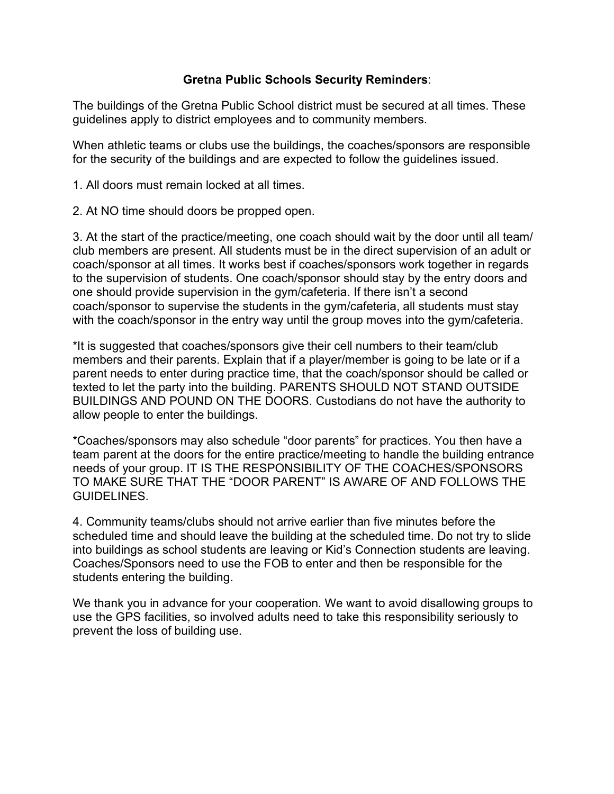## **Gretna Public Schools Security Reminders**:

The buildings of the Gretna Public School district must be secured at all times. These guidelines apply to district employees and to community members.

When athletic teams or clubs use the buildings, the coaches/sponsors are responsible for the security of the buildings and are expected to follow the guidelines issued.

1. All doors must remain locked at all times.

2. At NO time should doors be propped open.

3. At the start of the practice/meeting, one coach should wait by the door until all team/ club members are present. All students must be in the direct supervision of an adult or coach/sponsor at all times. It works best if coaches/sponsors work together in regards to the supervision of students. One coach/sponsor should stay by the entry doors and one should provide supervision in the gym/cafeteria. If there isn't a second coach/sponsor to supervise the students in the gym/cafeteria, all students must stay with the coach/sponsor in the entry way until the group moves into the gym/cafeteria.

\*It is suggested that coaches/sponsors give their cell numbers to their team/club members and their parents. Explain that if a player/member is going to be late or if a parent needs to enter during practice time, that the coach/sponsor should be called or texted to let the party into the building. PARENTS SHOULD NOT STAND OUTSIDE BUILDINGS AND POUND ON THE DOORS. Custodians do not have the authority to allow people to enter the buildings.

\*Coaches/sponsors may also schedule "door parents" for practices. You then have a team parent at the doors for the entire practice/meeting to handle the building entrance needs of your group. IT IS THE RESPONSIBILITY OF THE COACHES/SPONSORS TO MAKE SURE THAT THE "DOOR PARENT" IS AWARE OF AND FOLLOWS THE GUIDELINES.

4. Community teams/clubs should not arrive earlier than five minutes before the scheduled time and should leave the building at the scheduled time. Do not try to slide into buildings as school students are leaving or Kid's Connection students are leaving. Coaches/Sponsors need to use the FOB to enter and then be responsible for the students entering the building.

We thank you in advance for your cooperation. We want to avoid disallowing groups to use the GPS facilities, so involved adults need to take this responsibility seriously to prevent the loss of building use.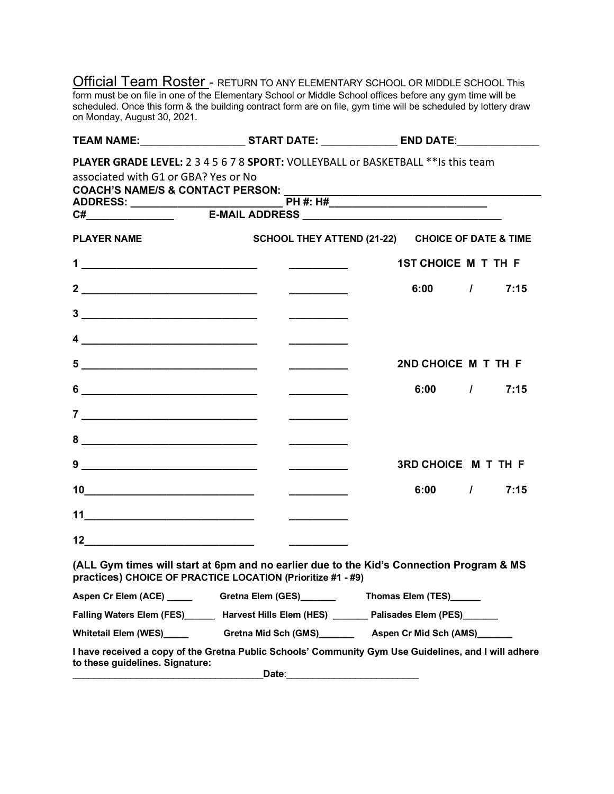**Official Team Roster** - RETURN TO ANY ELEMENTARY SCHOOL OR MIDDLE SCHOOL This form must be on file in one of the Elementary School or Middle School offices before any gym time will be scheduled. Once this form & the building contract form are on file, gym time will be scheduled by lottery draw on Monday, August 30, 2021.

|                                             | TEAM NAME:__________________________START DATE: _________________ END DATE:________________                                                                                                                                                                                                                                                                           |                                                  |               |
|---------------------------------------------|-----------------------------------------------------------------------------------------------------------------------------------------------------------------------------------------------------------------------------------------------------------------------------------------------------------------------------------------------------------------------|--------------------------------------------------|---------------|
|                                             | <b>PLAYER GRADE LEVEL: 2 3 4 5 6 7 8 SPORT: VOLLEYBALL or BASKETBALL ** Is this team</b>                                                                                                                                                                                                                                                                              |                                                  |               |
| associated with G1 or GBA? Yes or No        |                                                                                                                                                                                                                                                                                                                                                                       |                                                  |               |
| <b>COACH'S NAME/S &amp; CONTACT PERSON:</b> |                                                                                                                                                                                                                                                                                                                                                                       |                                                  |               |
|                                             |                                                                                                                                                                                                                                                                                                                                                                       |                                                  |               |
|                                             |                                                                                                                                                                                                                                                                                                                                                                       |                                                  |               |
| <b>PLAYER NAME</b>                          |                                                                                                                                                                                                                                                                                                                                                                       | SCHOOL THEY ATTEND (21-22) CHOICE OF DATE & TIME |               |
|                                             |                                                                                                                                                                                                                                                                                                                                                                       | 1ST CHOICE M T TH F                              |               |
|                                             | $\overline{\phantom{a}}$                                                                                                                                                                                                                                                                                                                                              |                                                  | $6:00$ / 7:15 |
|                                             |                                                                                                                                                                                                                                                                                                                                                                       |                                                  |               |
|                                             | $\frac{4}{\sqrt{2}}$ . The contract of the contract of the contract of the contract of the contract of the contract of the contract of the contract of the contract of the contract of the contract of the contract of the contract o                                                                                                                                 |                                                  |               |
|                                             |                                                                                                                                                                                                                                                                                                                                                                       | 2ND CHOICE M T TH F                              |               |
|                                             |                                                                                                                                                                                                                                                                                                                                                                       |                                                  | $6:00$ / 7:15 |
|                                             |                                                                                                                                                                                                                                                                                                                                                                       |                                                  |               |
| 8                                           | <u>a sa mga mga sangangang nag</u>                                                                                                                                                                                                                                                                                                                                    |                                                  |               |
|                                             | <u> 1986 - Jan Barbarat, prima polit</u> ik (h. 1918)<br>1900 - Jan Barbarat, politik (h. 1920)                                                                                                                                                                                                                                                                       | <b>3RD CHOICE M T TH F</b>                       |               |
|                                             |                                                                                                                                                                                                                                                                                                                                                                       |                                                  | $6:00$ / 7:15 |
|                                             |                                                                                                                                                                                                                                                                                                                                                                       |                                                  |               |
|                                             | $12$ and $\overline{\phantom{a}12}$ and $\overline{\phantom{a}12}$ and $\overline{\phantom{a}12}$ and $\overline{\phantom{a}12}$ and $\overline{\phantom{a}12}$ and $\overline{\phantom{a}12}$ and $\overline{\phantom{a}12}$ and $\overline{\phantom{a}12}$ and $\overline{\phantom{a}12}$ and $\overline{\phantom{a}12}$ and $\overline{\phantom{a}12}$ and $\over$ |                                                  |               |
|                                             | (ALL Gym times will start at 6pm and no earlier due to the Kid's Connection Program & MS<br>practices) CHOICE OF PRACTICE LOCATION (Prioritize #1 - #9)                                                                                                                                                                                                               |                                                  |               |
|                                             | Aspen Cr Elem (ACE) ______   Gretna Elem (GES)_______   Thomas Elem (TES)______                                                                                                                                                                                                                                                                                       |                                                  |               |
|                                             | Falling Waters Elem (FES)_______ Harvest Hills Elem (HES) _______ Palisades Elem (PES)_______                                                                                                                                                                                                                                                                         |                                                  |               |
| Whitetail Elem (WES) Manuscript             | Gretna Mid Sch (GMS)____________ Aspen Cr Mid Sch (AMS)________                                                                                                                                                                                                                                                                                                       |                                                  |               |
| to these guidelines. Signature:             | I have received a copy of the Gretna Public Schools' Community Gym Use Guidelines, and I will adhere                                                                                                                                                                                                                                                                  |                                                  |               |
|                                             | Date:                                                                                                                                                                                                                                                                                                                                                                 |                                                  |               |